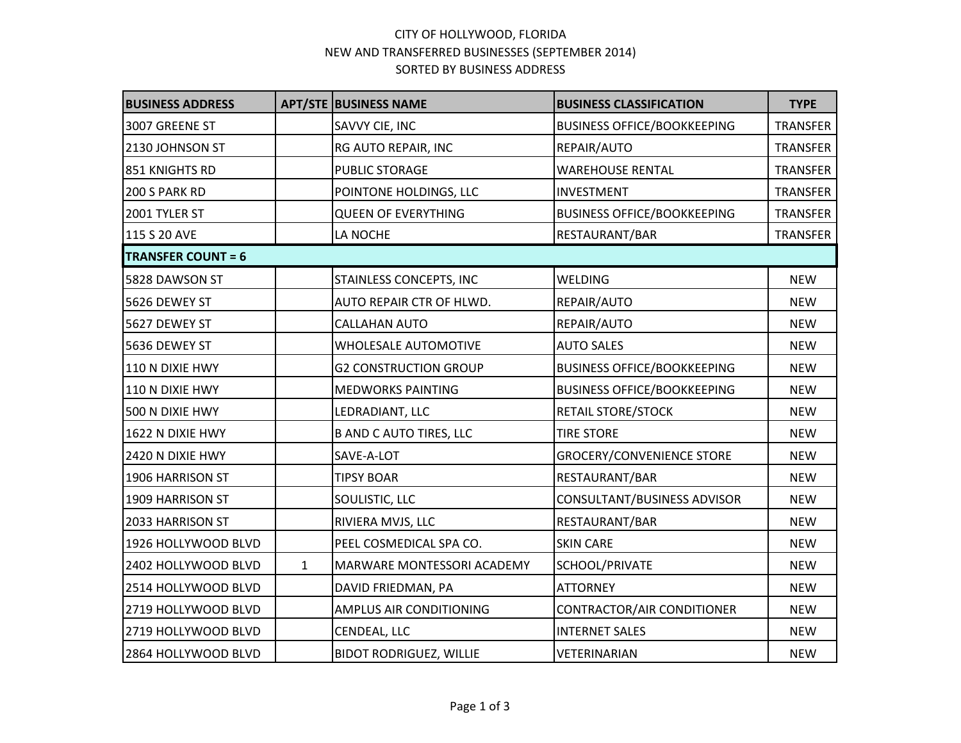## CITY OF HOLLYWOOD, FLORIDA NEW AND TRANSFERRED BUSINESSES (SEPTEMBER 2014) SORTED BY BUSINESS ADDRESS

| <b>BUSINESS ADDRESS</b>   |              | <b>APT/STE BUSINESS NAME</b>   | <b>BUSINESS CLASSIFICATION</b>     | <b>TYPE</b> |
|---------------------------|--------------|--------------------------------|------------------------------------|-------------|
| 3007 GREENE ST            |              | SAVVY CIE, INC                 | <b>BUSINESS OFFICE/BOOKKEEPING</b> | TRANSFER    |
| 2130 JOHNSON ST           |              | RG AUTO REPAIR, INC            | REPAIR/AUTO                        | TRANSFER    |
| 851 KNIGHTS RD            |              | <b>PUBLIC STORAGE</b>          | <b>WAREHOUSE RENTAL</b>            | TRANSFER    |
| 200 S PARK RD             |              | POINTONE HOLDINGS, LLC         | <b>INVESTMENT</b>                  | TRANSFER    |
| 2001 TYLER ST             |              | <b>QUEEN OF EVERYTHING</b>     | <b>BUSINESS OFFICE/BOOKKEEPING</b> | TRANSFER    |
| 115 S 20 AVE              |              | LA NOCHE                       | RESTAURANT/BAR                     | TRANSFER    |
| <b>TRANSFER COUNT = 6</b> |              |                                |                                    |             |
| 5828 DAWSON ST            |              | STAINLESS CONCEPTS, INC        | <b>WELDING</b>                     | <b>NEW</b>  |
| 5626 DEWEY ST             |              | AUTO REPAIR CTR OF HLWD.       | REPAIR/AUTO                        | <b>NEW</b>  |
| 5627 DEWEY ST             |              | <b>CALLAHAN AUTO</b>           | REPAIR/AUTO                        | <b>NEW</b>  |
| 5636 DEWEY ST             |              | <b>WHOLESALE AUTOMOTIVE</b>    | <b>AUTO SALES</b>                  | <b>NEW</b>  |
| 110 N DIXIE HWY           |              | <b>G2 CONSTRUCTION GROUP</b>   | <b>BUSINESS OFFICE/BOOKKEEPING</b> | <b>NEW</b>  |
| 110 N DIXIE HWY           |              | <b>MEDWORKS PAINTING</b>       | <b>BUSINESS OFFICE/BOOKKEEPING</b> | <b>NEW</b>  |
| 500 N DIXIE HWY           |              | LEDRADIANT, LLC                | RETAIL STORE/STOCK                 | <b>NEW</b>  |
| 1622 N DIXIE HWY          |              | <b>B AND C AUTO TIRES, LLC</b> | <b>TIRE STORE</b>                  | <b>NEW</b>  |
| 2420 N DIXIE HWY          |              | SAVE-A-LOT                     | <b>GROCERY/CONVENIENCE STORE</b>   | <b>NEW</b>  |
| 1906 HARRISON ST          |              | <b>TIPSY BOAR</b>              | RESTAURANT/BAR                     | <b>NEW</b>  |
| 1909 HARRISON ST          |              | SOULISTIC, LLC                 | CONSULTANT/BUSINESS ADVISOR        | <b>NEW</b>  |
| 2033 HARRISON ST          |              | RIVIERA MVJS, LLC              | RESTAURANT/BAR                     | <b>NEW</b>  |
| 1926 HOLLYWOOD BLVD       |              | PEEL COSMEDICAL SPA CO.        | <b>SKIN CARE</b>                   | <b>NEW</b>  |
| 2402 HOLLYWOOD BLVD       | $\mathbf{1}$ | MARWARE MONTESSORI ACADEMY     | SCHOOL/PRIVATE                     | <b>NEW</b>  |
| 2514 HOLLYWOOD BLVD       |              | DAVID FRIEDMAN, PA             | <b>ATTORNEY</b>                    | <b>NEW</b>  |
| 2719 HOLLYWOOD BLVD       |              | <b>AMPLUS AIR CONDITIONING</b> | CONTRACTOR/AIR CONDITIONER         | <b>NEW</b>  |
| 2719 HOLLYWOOD BLVD       |              | CENDEAL, LLC                   | <b>INTERNET SALES</b>              | <b>NEW</b>  |
| 2864 HOLLYWOOD BLVD       |              | <b>BIDOT RODRIGUEZ, WILLIE</b> | VETERINARIAN                       | <b>NEW</b>  |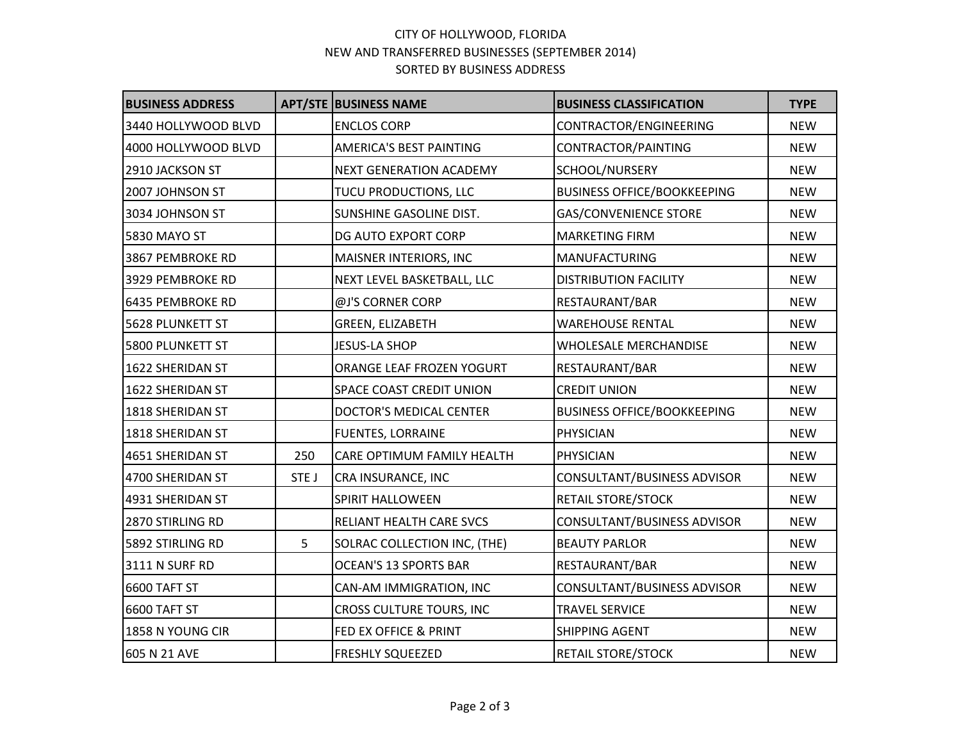## CITY OF HOLLYWOOD, FLORIDA NEW AND TRANSFERRED BUSINESSES (SEPTEMBER 2014) SORTED BY BUSINESS ADDRESS

| <b>BUSINESS ADDRESS</b> |       | <b>APT/STE BUSINESS NAME</b>   | <b>BUSINESS CLASSIFICATION</b>     | <b>TYPE</b> |
|-------------------------|-------|--------------------------------|------------------------------------|-------------|
| 3440 HOLLYWOOD BLVD     |       | <b>ENCLOS CORP</b>             | CONTRACTOR/ENGINEERING             | <b>NEW</b>  |
| 4000 HOLLYWOOD BLVD     |       | <b>AMERICA'S BEST PAINTING</b> | CONTRACTOR/PAINTING                | <b>NEW</b>  |
| 2910 JACKSON ST         |       | NEXT GENERATION ACADEMY        | SCHOOL/NURSERY                     | <b>NEW</b>  |
| 2007 JOHNSON ST         |       | TUCU PRODUCTIONS, LLC          | <b>BUSINESS OFFICE/BOOKKEEPING</b> | <b>NEW</b>  |
| 3034 JOHNSON ST         |       | SUNSHINE GASOLINE DIST.        | <b>GAS/CONVENIENCE STORE</b>       | <b>NEW</b>  |
| 5830 MAYO ST            |       | DG AUTO EXPORT CORP            | <b>MARKETING FIRM</b>              | <b>NEW</b>  |
| 3867 PEMBROKE RD        |       | MAISNER INTERIORS, INC         | <b>MANUFACTURING</b>               | <b>NEW</b>  |
| 3929 PEMBROKE RD        |       | NEXT LEVEL BASKETBALL, LLC     | <b>DISTRIBUTION FACILITY</b>       | <b>NEW</b>  |
| 6435 PEMBROKE RD        |       | @J'S CORNER CORP               | RESTAURANT/BAR                     | <b>NEW</b>  |
| 5628 PLUNKETT ST        |       | GREEN, ELIZABETH               | <b>WAREHOUSE RENTAL</b>            | <b>NEW</b>  |
| 5800 PLUNKETT ST        |       | <b>JESUS-LA SHOP</b>           | <b>WHOLESALE MERCHANDISE</b>       | <b>NEW</b>  |
| 1622 SHERIDAN ST        |       | ORANGE LEAF FROZEN YOGURT      | RESTAURANT/BAR                     | <b>NEW</b>  |
| 1622 SHERIDAN ST        |       | SPACE COAST CREDIT UNION       | <b>CREDIT UNION</b>                | <b>NEW</b>  |
| 1818 SHERIDAN ST        |       | DOCTOR'S MEDICAL CENTER        | <b>BUSINESS OFFICE/BOOKKEEPING</b> | <b>NEW</b>  |
| 1818 SHERIDAN ST        |       | <b>FUENTES, LORRAINE</b>       | PHYSICIAN                          | <b>NEW</b>  |
| 4651 SHERIDAN ST        | 250   | CARE OPTIMUM FAMILY HEALTH     | PHYSICIAN                          | <b>NEW</b>  |
| 4700 SHERIDAN ST        | STE J | CRA INSURANCE, INC             | CONSULTANT/BUSINESS ADVISOR        | <b>NEW</b>  |
| 4931 SHERIDAN ST        |       | <b>SPIRIT HALLOWEEN</b>        | <b>RETAIL STORE/STOCK</b>          | <b>NEW</b>  |
| 2870 STIRLING RD        |       | RELIANT HEALTH CARE SVCS       | CONSULTANT/BUSINESS ADVISOR        | <b>NEW</b>  |
| 5892 STIRLING RD        | 5     | SOLRAC COLLECTION INC, (THE)   | <b>BEAUTY PARLOR</b>               | <b>NEW</b>  |
| 3111 N SURF RD          |       | <b>OCEAN'S 13 SPORTS BAR</b>   | RESTAURANT/BAR                     | <b>NEW</b>  |
| 6600 TAFT ST            |       | CAN-AM IMMIGRATION, INC        | CONSULTANT/BUSINESS ADVISOR        | <b>NEW</b>  |
| 6600 TAFT ST            |       | CROSS CULTURE TOURS, INC       | <b>TRAVEL SERVICE</b>              | <b>NEW</b>  |
| 1858 N YOUNG CIR        |       | FED EX OFFICE & PRINT          | <b>SHIPPING AGENT</b>              | <b>NEW</b>  |
| 605 N 21 AVE            |       | <b>FRESHLY SQUEEZED</b>        | <b>RETAIL STORE/STOCK</b>          | <b>NEW</b>  |